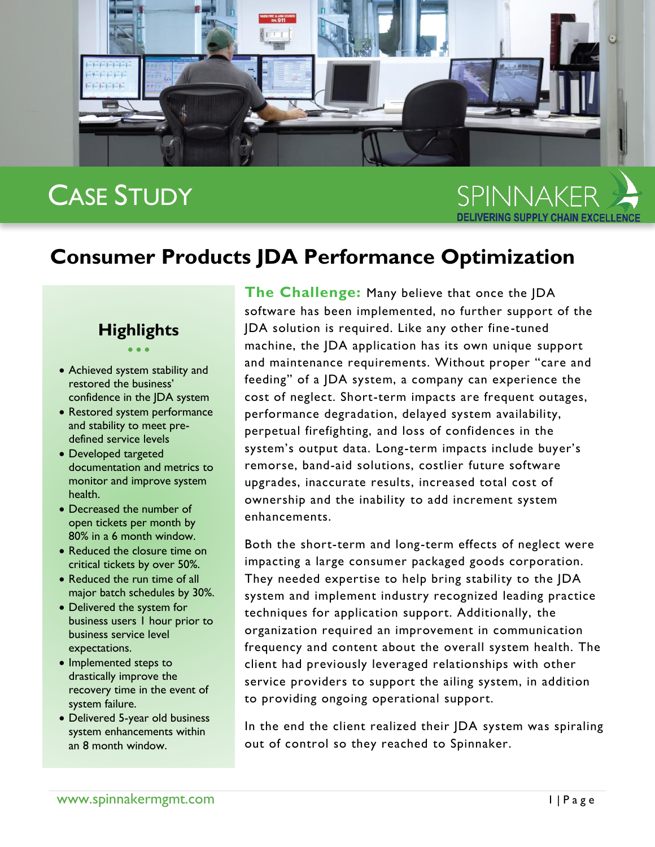

# CASE STUDY

SPINNAKFR

# **Consumer Products JDA Performance Optimization**

## **Highlights**  $\bullet$   $\bullet$   $\bullet$

- Achieved system stability and restored the business' confidence in the JDA system
- Restored system performance and stability to meet predefined service levels
- Developed targeted documentation and metrics to monitor and improve system health.
- Decreased the number of open tickets per month by 80% in a 6 month window.
- Reduced the closure time on critical tickets by over 50%.
- Reduced the run time of all major batch schedules by 30%.
- Delivered the system for business users 1 hour prior to business service level expectations.
- Implemented steps to drastically improve the recovery time in the event of system failure.
- Delivered 5-year old business system enhancements within an 8 month window.

**The Challenge:** Many believe that once the JDA software has been implemented, no further support of the JDA solution is required. Like any other fine-tuned machine, the JDA application has its own unique support and maintenance requirements. Without proper "care and feeding" of a JDA system, a company can experience the cost of neglect. Short-term impacts are frequent outages, performance degradation, delayed system availability, perpetual firefighting, and loss of confidences in the system's output data. Long-term impacts include buyer's remorse, band-aid solutions, costlier future software upgrades, inaccurate results, increased total cost of ownership and the inability to add increment system enhancements.

Both the short-term and long-term effects of neglect were impacting a large consumer packaged goods corporation. They needed expertise to help bring stability to the JDA system and implement industry recognized leading practice techniques for application support. Additionally, the organization required an improvement in communication frequency and content about the overall system health. The client had previously leveraged relationships with other service providers to support the ailing system, in addition to providing ongoing operational support.

In the end the client realized their JDA system was spiraling out of control so they reached to Spinnaker.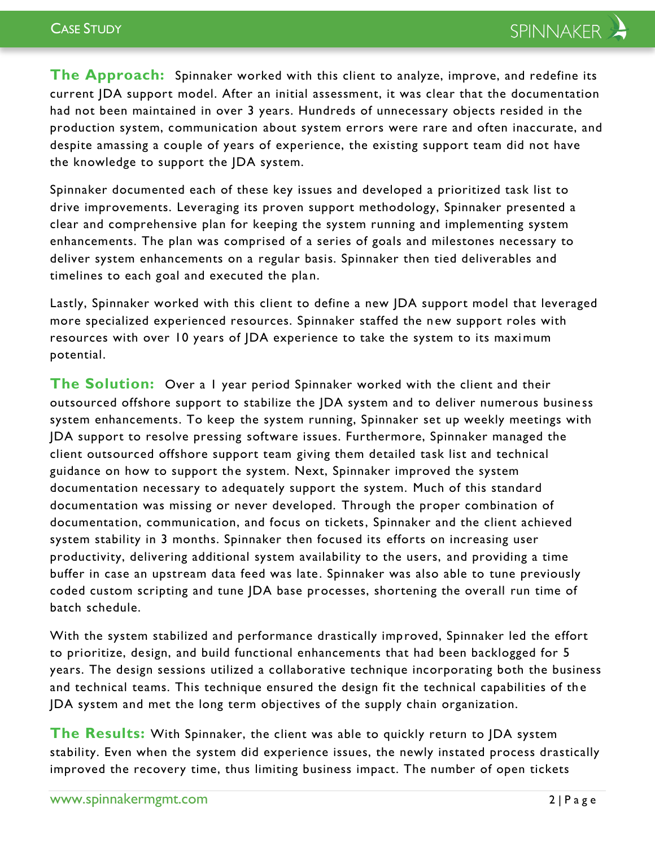**The Approach:** Spinnaker worked with this client to analyze, improve, and redefine its current JDA support model. After an initial assessment, it was clear that the documentation had not been maintained in over 3 years. Hundreds of unnecessary objects resided in the production system, communication about system errors were rare and often inaccurate, and despite amassing a couple of years of experience, the existing support team did not have the knowledge to support the JDA system.

Spinnaker documented each of these key issues and developed a prioritized task list to drive improvements. Leveraging its proven support methodology, Spinnaker presented a clear and comprehensive plan for keeping the system running and implementing system enhancements. The plan was comprised of a series of goals and milestones necessary to deliver system enhancements on a regular basis. Spinnaker then tied deliverables and timelines to each goal and executed the plan.

Lastly, Spinnaker worked with this client to define a new JDA support model that leveraged more specialized experienced resources. Spinnaker staffed the n ew support roles with resources with over 10 years of JDA experience to take the system to its maximum potential.

**The Solution:** Over a 1 year period Spinnaker worked with the client and their outsourced offshore support to stabilize the JDA system and to deliver numerous busine ss system enhancements. To keep the system running, Spinnaker set up weekly meetings with JDA support to resolve pressing software issues. Furthermore, Spinnaker managed the client outsourced offshore support team giving them detailed task list and technical guidance on how to support the system. Next, Spinnaker improved the system documentation necessary to adequately support the system. Much of this standard documentation was missing or never developed. Through the proper combination of documentation, communication, and focus on tickets, Spinnaker and the client achieved system stability in 3 months. Spinnaker then focused its efforts on increasing user productivity, delivering additional system availability to the users, and providing a time buffer in case an upstream data feed was late. Spinnaker was also able to tune previously coded custom scripting and tune JDA base processes, shortening the overall run time of batch schedule.

With the system stabilized and performance drastically improved, Spinnaker led the effort to prioritize, design, and build functional enhancements that had been backlogged for 5 years. The design sessions utilized a collaborative technique incorporating both the business and technical teams. This technique ensured the design fit the technical capabilities of th e JDA system and met the long term objectives of the supply chain organization.

**The Results:** With Spinnaker, the client was able to quickly return to JDA system stability. Even when the system did experience issues, the newly instated process drastically improved the recovery time, thus limiting business impact. The number of open tickets